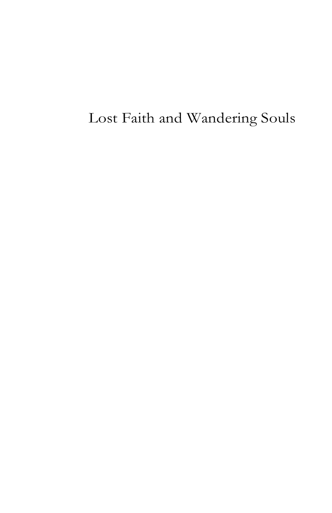# Lost Faith and Wandering Souls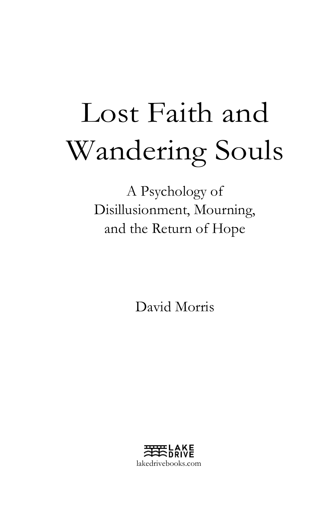# Lost Faith and Wandering Souls

A Psychology of Disillusionment, Mourning, and the Return of Hope

David Morris

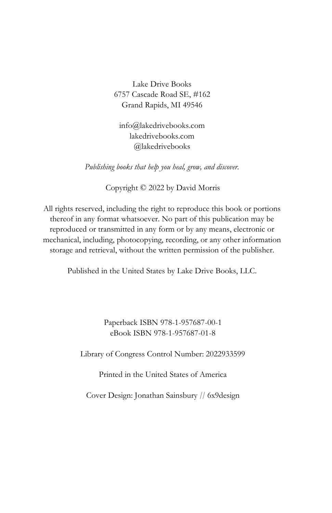## Lake Drive Books 6757 Cascade Road SE, #162 Grand Rapids, MI 49546

info@lakedrivebooks.com lakedrivebooks.com @lakedrivebooks

Publishing books that help you heal, grow, and discover.

Copyright © 2022 by David Morris

All rights reserved, including the right to reproduce this book or portions thereof in any format whatsoever. No part of this publication may be reproduced or transmitted in any form or by any means, electronic or mechanical, including, photocopying, recording, or any other information storage and retrieval, without the written permission of the publisher.

Published in the United States by Lake Drive Books, LLC.

Paperback ISBN 978-1-957687-00-1 eBook ISBN 978-1-957687-01-8

Library of Congress Control Number: 2022933599

Printed in the United States of America

Cover Design: Jonathan Sainsbury // 6x9design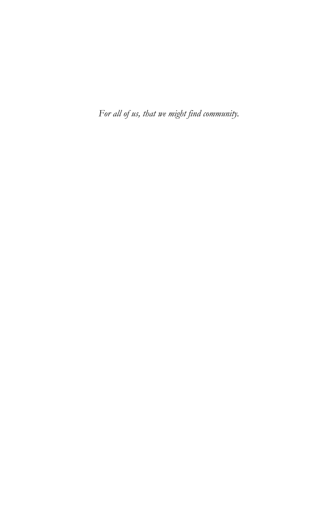For all of us, that we might find community.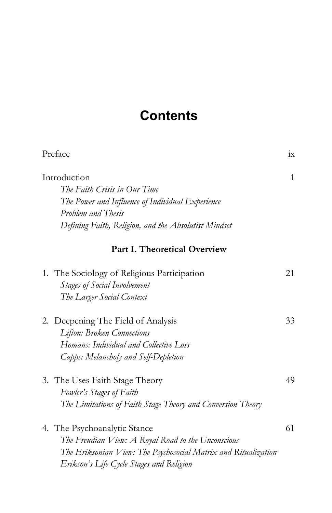# **Contents**

| Preface                                                                                                                                                                                          | $1\rm{X}$ |
|--------------------------------------------------------------------------------------------------------------------------------------------------------------------------------------------------|-----------|
| Introduction<br>The Faith Crisis in Our Time<br>The Power and Influence of Individual Experience<br>Problem and Thesis<br>Defining Faith, Religion, and the Absolutist Mindset                   | 1         |
| <b>Part I. Theoretical Overview</b>                                                                                                                                                              |           |
| 1. The Sociology of Religious Participation<br><b>Stages of Social Involvement</b><br>The Larger Social Context                                                                                  | 21        |
| 2. Deepening The Field of Analysis<br><b>Lifton: Broken Connections</b><br>Homans: Individual and Collective Loss<br>Capps: Melancholy and Self-Depletion                                        | 33        |
| 3. The Uses Faith Stage Theory<br>Fowler's Stages of Faith<br>The Limitations of Faith Stage Theory and Conversion Theory                                                                        | 49        |
| 4. The Psychoanalytic Stance<br>The Freudian View: A Royal Road to the Unconscious<br>The Eriksonian View: The Psychosocial Matrix and Ritualization<br>Erikson's Life Cycle Stages and Religion | 61        |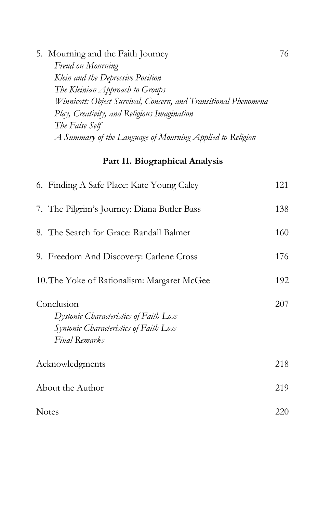| 5. Mourning and the Faith Journey                               | 76 |
|-----------------------------------------------------------------|----|
| Freud on Mourning                                               |    |
| Klein and the Depressive Position                               |    |
| The Kleinian Approach to Groups                                 |    |
| Winnicott: Object Survival, Concern, and Transitional Phenomena |    |
| Play, Creativity, and Religious Imagination                     |    |
| The False Self                                                  |    |
| A Summary of the Language of Mourning Applied to Religion       |    |

# Part II. Biographical Analysis

| 6. Finding A Safe Place: Kate Young Caley                                                                       | 121 |
|-----------------------------------------------------------------------------------------------------------------|-----|
| 7. The Pilgrim's Journey: Diana Butler Bass                                                                     | 138 |
| 8. The Search for Grace: Randall Balmer                                                                         | 160 |
| 9. Freedom And Discovery: Carlene Cross                                                                         | 176 |
| 10. The Yoke of Rationalism: Margaret McGee                                                                     | 192 |
| Conclusion<br>Dystonic Characteristics of Faith Loss<br>Syntonic Characteristics of Faith Loss<br>Final Remarks | 207 |
| Acknowledgments                                                                                                 | 218 |
| About the Author                                                                                                | 219 |
| <b>Notes</b>                                                                                                    | 220 |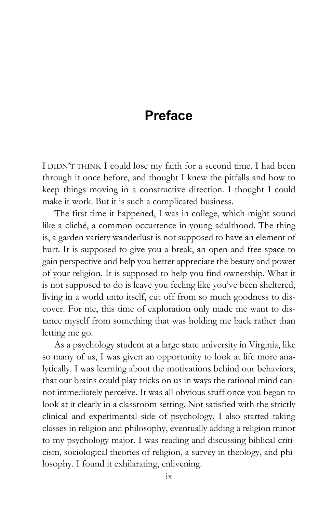# Preface

I DIDN'T THINK I could lose my faith for a second time. I had been through it once before, and thought I knew the pitfalls and how to keep things moving in a constructive direction. I thought I could make it work. But it is such a complicated business.

The first time it happened, I was in college, which might sound like a cliché, a common occurrence in young adulthood. The thing is, a garden variety wanderlust is not supposed to have an element of hurt. It is supposed to give you a break, an open and free space to gain perspective and help you better appreciate the beauty and power of your religion. It is supposed to help you find ownership. What it is not supposed to do is leave you feeling like you've been sheltered, living in a world unto itself, cut off from so much goodness to discover. For me, this time of exploration only made me want to distance myself from something that was holding me back rather than letting me go.

As a psychology student at a large state university in Virginia, like so many of us, I was given an opportunity to look at life more analytically. I was learning about the motivations behind our behaviors, that our brains could play tricks on us in ways the rational mind cannot immediately perceive. It was all obvious stuff once you began to look at it clearly in a classroom setting. Not satisfied with the strictly clinical and experimental side of psychology, I also started taking classes in religion and philosophy, eventually adding a religion minor to my psychology major. I was reading and discussing biblical criticism, sociological theories of religion, a survey in theology, and philosophy. I found it exhilarating, enlivening.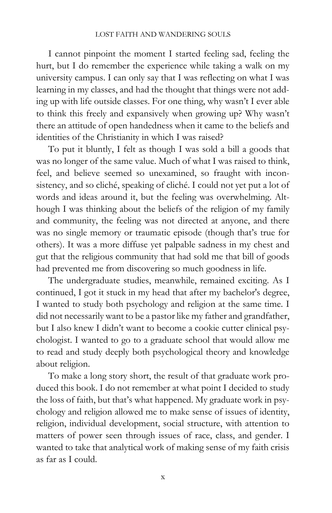I cannot pinpoint the moment I started feeling sad, feeling the hurt, but I do remember the experience while taking a walk on my university campus. I can only say that I was reflecting on what I was learning in my classes, and had the thought that things were not adding up with life outside classes. For one thing, why wasn't I ever able to think this freely and expansively when growing up? Why wasn't there an attitude of open handedness when it came to the beliefs and identities of the Christianity in which I was raised?

To put it bluntly, I felt as though I was sold a bill a goods that was no longer of the same value. Much of what I was raised to think, feel, and believe seemed so unexamined, so fraught with inconsistency, and so cliché, speaking of cliché. I could not yet put a lot of words and ideas around it, but the feeling was overwhelming. Although I was thinking about the beliefs of the religion of my family and community, the feeling was not directed at anyone, and there was no single memory or traumatic episode (though that's true for others). It was a more diffuse yet palpable sadness in my chest and gut that the religious community that had sold me that bill of goods had prevented me from discovering so much goodness in life.

The undergraduate studies, meanwhile, remained exciting. As I continued, I got it stuck in my head that after my bachelor's degree, I wanted to study both psychology and religion at the same time. I did not necessarily want to be a pastor like my father and grandfather, but I also knew I didn't want to become a cookie cutter clinical psychologist. I wanted to go to a graduate school that would allow me to read and study deeply both psychological theory and knowledge about religion.

To make a long story short, the result of that graduate work produced this book. I do not remember at what point I decided to study the loss of faith, but that's what happened. My graduate work in psychology and religion allowed me to make sense of issues of identity, religion, individual development, social structure, with attention to matters of power seen through issues of race, class, and gender. I wanted to take that analytical work of making sense of my faith crisis as far as I could.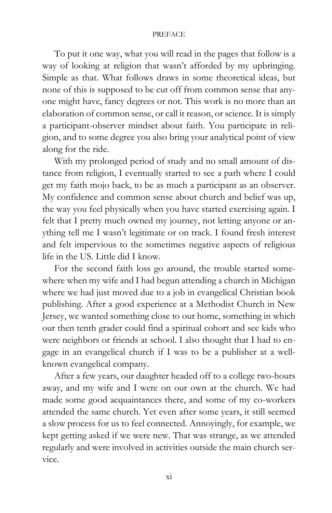#### PREFACE

To put it one way, what you will read in the pages that follow is a way of looking at religion that wasn't afforded by my upbringing. Simple as that. What follows draws in some theoretical ideas, but none of this is supposed to be cut off from common sense that anyone might have, fancy degrees or not. This work is no more than an elaboration of common sense, or call it reason, or science. It is simply a participant-observer mindset about faith. You participate in religion, and to some degree you also bring your analytical point of view along for the ride.

With my prolonged period of study and no small amount of distance from religion, I eventually started to see a path where I could get my faith mojo back, to be as much a participant as an observer. My confidence and common sense about church and belief was up, the way you feel physically when you have started exercising again. I felt that I pretty much owned my journey, not letting anyone or anything tell me I wasn't legitimate or on track. I found fresh interest and felt impervious to the sometimes negative aspects of religious life in the US. Little did I know.

For the second faith loss go around, the trouble started somewhere when my wife and I had begun attending a church in Michigan where we had just moved due to a job in evangelical Christian book publishing. After a good experience at a Methodist Church in New Jersey, we wanted something close to our home, something in which our then tenth grader could find a spiritual cohort and see kids who were neighbors or friends at school. I also thought that I had to engage in an evangelical church if I was to be a publisher at a wellknown evangelical company.

After a few years, our daughter headed off to a college two-hours away, and my wife and I were on our own at the church. We had made some good acquaintances there, and some of my co-workers attended the same church. Yet even after some years, it still seemed a slow process for us to feel connected. Annoyingly, for example, we kept getting asked if we were new. That was strange, as we attended regularly and were involved in activities outside the main church service.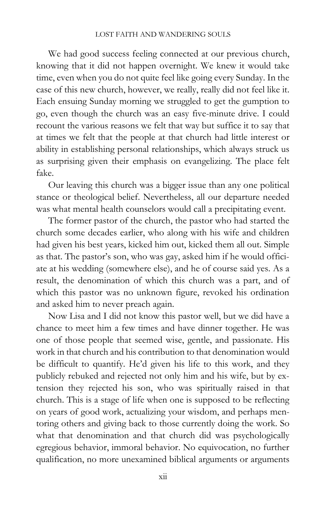#### LOST FAITH AND WANDERING SOULS

We had good success feeling connected at our previous church, knowing that it did not happen overnight. We knew it would take time, even when you do not quite feel like going every Sunday. In the case of this new church, however, we really, really did not feel like it. Each ensuing Sunday morning we struggled to get the gumption to go, even though the church was an easy five-minute drive. I could recount the various reasons we felt that way but suffice it to say that at times we felt that the people at that church had little interest or ability in establishing personal relationships, which always struck us as surprising given their emphasis on evangelizing. The place felt fake.

Our leaving this church was a bigger issue than any one political stance or theological belief. Nevertheless, all our departure needed was what mental health counselors would call a precipitating event.

The former pastor of the church, the pastor who had started the church some decades earlier, who along with his wife and children had given his best years, kicked him out, kicked them all out. Simple as that. The pastor's son, who was gay, asked him if he would officiate at his wedding (somewhere else), and he of course said yes. As a result, the denomination of which this church was a part, and of which this pastor was no unknown figure, revoked his ordination and asked him to never preach again.

Now Lisa and I did not know this pastor well, but we did have a chance to meet him a few times and have dinner together. He was one of those people that seemed wise, gentle, and passionate. His work in that church and his contribution to that denomination would be difficult to quantify. He'd given his life to this work, and they publicly rebuked and rejected not only him and his wife, but by extension they rejected his son, who was spiritually raised in that church. This is a stage of life when one is supposed to be reflecting on years of good work, actualizing your wisdom, and perhaps mentoring others and giving back to those currently doing the work. So what that denomination and that church did was psychologically egregious behavior, immoral behavior. No equivocation, no further qualification, no more unexamined biblical arguments or arguments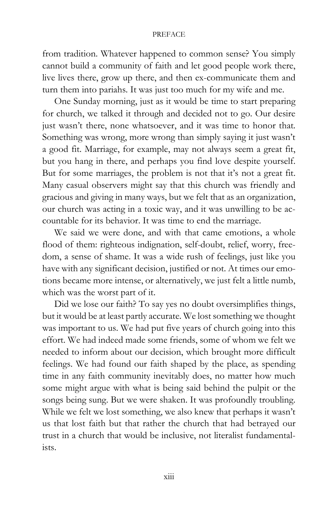#### PREFACE

from tradition. Whatever happened to common sense? You simply cannot build a community of faith and let good people work there, live lives there, grow up there, and then ex-communicate them and turn them into pariahs. It was just too much for my wife and me.

One Sunday morning, just as it would be time to start preparing for church, we talked it through and decided not to go. Our desire just wasn't there, none whatsoever, and it was time to honor that. Something was wrong, more wrong than simply saying it just wasn't a good fit. Marriage, for example, may not always seem a great fit, but you hang in there, and perhaps you find love despite yourself. But for some marriages, the problem is not that it's not a great fit. Many casual observers might say that this church was friendly and gracious and giving in many ways, but we felt that as an organization, our church was acting in a toxic way, and it was unwilling to be accountable for its behavior. It was time to end the marriage.

We said we were done, and with that came emotions, a whole flood of them: righteous indignation, self-doubt, relief, worry, freedom, a sense of shame. It was a wide rush of feelings, just like you have with any significant decision, justified or not. At times our emotions became more intense, or alternatively, we just felt a little numb, which was the worst part of it.

Did we lose our faith? To say yes no doubt oversimplifies things, but it would be at least partly accurate. We lost something we thought was important to us. We had put five years of church going into this effort. We had indeed made some friends, some of whom we felt we needed to inform about our decision, which brought more difficult feelings. We had found our faith shaped by the place, as spending time in any faith community inevitably does, no matter how much some might argue with what is being said behind the pulpit or the songs being sung. But we were shaken. It was profoundly troubling. While we felt we lost something, we also knew that perhaps it wasn't us that lost faith but that rather the church that had betrayed our trust in a church that would be inclusive, not literalist fundamentalists.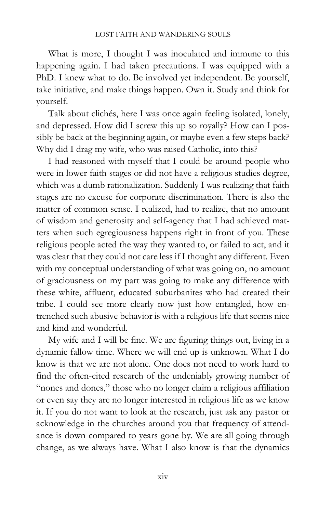What is more, I thought I was inoculated and immune to this happening again. I had taken precautions. I was equipped with a PhD. I knew what to do. Be involved yet independent. Be yourself, take initiative, and make things happen. Own it. Study and think for yourself.

Talk about clichés, here I was once again feeling isolated, lonely, and depressed. How did I screw this up so royally? How can I possibly be back at the beginning again, or maybe even a few steps back? Why did I drag my wife, who was raised Catholic, into this?

I had reasoned with myself that I could be around people who were in lower faith stages or did not have a religious studies degree, which was a dumb rationalization. Suddenly I was realizing that faith stages are no excuse for corporate discrimination. There is also the matter of common sense. I realized, had to realize, that no amount of wisdom and generosity and self-agency that I had achieved matters when such egregiousness happens right in front of you. These religious people acted the way they wanted to, or failed to act, and it was clear that they could not care less if I thought any different. Even with my conceptual understanding of what was going on, no amount of graciousness on my part was going to make any difference with these white, affluent, educated suburbanites who had created their tribe. I could see more clearly now just how entangled, how entrenched such abusive behavior is with a religious life that seems nice and kind and wonderful.

My wife and I will be fine. We are figuring things out, living in a dynamic fallow time. Where we will end up is unknown. What I do know is that we are not alone. One does not need to work hard to find the often-cited research of the undeniably growing number of "nones and dones," those who no longer claim a religious affiliation or even say they are no longer interested in religious life as we know it. If you do not want to look at the research, just ask any pastor or acknowledge in the churches around you that frequency of attendance is down compared to years gone by. We are all going through change, as we always have. What I also know is that the dynamics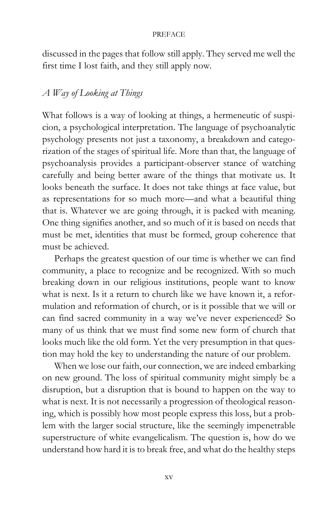#### PREFACE

discussed in the pages that follow still apply. They served me well the first time I lost faith, and they still apply now.

# A Way of Looking at Things

What follows is a way of looking at things, a hermeneutic of suspicion, a psychological interpretation. The language of psychoanalytic psychology presents not just a taxonomy, a breakdown and categorization of the stages of spiritual life. More than that, the language of psychoanalysis provides a participant-observer stance of watching carefully and being better aware of the things that motivate us. It looks beneath the surface. It does not take things at face value, but as representations for so much more—and what a beautiful thing that is. Whatever we are going through, it is packed with meaning. One thing signifies another, and so much of it is based on needs that must be met, identities that must be formed, group coherence that must be achieved.

Perhaps the greatest question of our time is whether we can find community, a place to recognize and be recognized. With so much breaking down in our religious institutions, people want to know what is next. Is it a return to church like we have known it, a reformulation and reformation of church, or is it possible that we will or can find sacred community in a way we've never experienced? So many of us think that we must find some new form of church that looks much like the old form. Yet the very presumption in that question may hold the key to understanding the nature of our problem.

When we lose our faith, our connection, we are indeed embarking on new ground. The loss of spiritual community might simply be a disruption, but a disruption that is bound to happen on the way to what is next. It is not necessarily a progression of theological reasoning, which is possibly how most people express this loss, but a problem with the larger social structure, like the seemingly impenetrable superstructure of white evangelicalism. The question is, how do we understand how hard it is to break free, and what do the healthy steps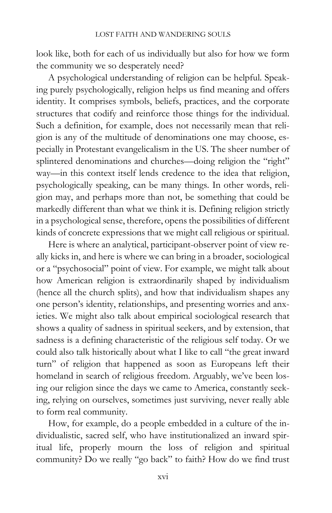look like, both for each of us individually but also for how we form the community we so desperately need?

A psychological understanding of religion can be helpful. Speaking purely psychologically, religion helps us find meaning and offers identity. It comprises symbols, beliefs, practices, and the corporate structures that codify and reinforce those things for the individual. Such a definition, for example, does not necessarily mean that religion is any of the multitude of denominations one may choose, especially in Protestant evangelicalism in the US. The sheer number of splintered denominations and churches—doing religion the "right" way—in this context itself lends credence to the idea that religion, psychologically speaking, can be many things. In other words, religion may, and perhaps more than not, be something that could be markedly different than what we think it is. Defining religion strictly in a psychological sense, therefore, opens the possibilities of different kinds of concrete expressions that we might call religious or spiritual.

Here is where an analytical, participant-observer point of view really kicks in, and here is where we can bring in a broader, sociological or a "psychosocial" point of view. For example, we might talk about how American religion is extraordinarily shaped by individualism (hence all the church splits), and how that individualism shapes any one person's identity, relationships, and presenting worries and anxieties. We might also talk about empirical sociological research that shows a quality of sadness in spiritual seekers, and by extension, that sadness is a defining characteristic of the religious self today. Or we could also talk historically about what I like to call "the great inward turn" of religion that happened as soon as Europeans left their homeland in search of religious freedom. Arguably, we've been losing our religion since the days we came to America, constantly seeking, relying on ourselves, sometimes just surviving, never really able to form real community.

How, for example, do a people embedded in a culture of the individualistic, sacred self, who have institutionalized an inward spiritual life, properly mourn the loss of religion and spiritual community? Do we really "go back" to faith? How do we find trust

xvi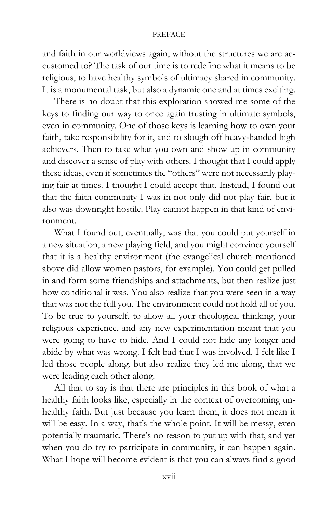#### PREFACE

and faith in our worldviews again, without the structures we are accustomed to? The task of our time is to redefine what it means to be religious, to have healthy symbols of ultimacy shared in community. It is a monumental task, but also a dynamic one and at times exciting.

There is no doubt that this exploration showed me some of the keys to finding our way to once again trusting in ultimate symbols, even in community. One of those keys is learning how to own your faith, take responsibility for it, and to slough off heavy-handed high achievers. Then to take what you own and show up in community and discover a sense of play with others. I thought that I could apply these ideas, even if sometimes the "others" were not necessarily playing fair at times. I thought I could accept that. Instead, I found out that the faith community I was in not only did not play fair, but it also was downright hostile. Play cannot happen in that kind of environment.

What I found out, eventually, was that you could put yourself in a new situation, a new playing field, and you might convince yourself that it is a healthy environment (the evangelical church mentioned above did allow women pastors, for example). You could get pulled in and form some friendships and attachments, but then realize just how conditional it was. You also realize that you were seen in a way that was not the full you. The environment could not hold all of you. To be true to yourself, to allow all your theological thinking, your religious experience, and any new experimentation meant that you were going to have to hide. And I could not hide any longer and abide by what was wrong. I felt bad that I was involved. I felt like I led those people along, but also realize they led me along, that we were leading each other along.

All that to say is that there are principles in this book of what a healthy faith looks like, especially in the context of overcoming unhealthy faith. But just because you learn them, it does not mean it will be easy. In a way, that's the whole point. It will be messy, even potentially traumatic. There's no reason to put up with that, and yet when you do try to participate in community, it can happen again. What I hope will become evident is that you can always find a good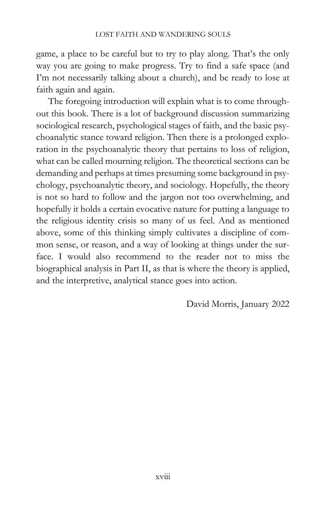game, a place to be careful but to try to play along. That's the only way you are going to make progress. Try to find a safe space (and I'm not necessarily talking about a church), and be ready to lose at faith again and again.

The foregoing introduction will explain what is to come throughout this book. There is a lot of background discussion summarizing sociological research, psychological stages of faith, and the basic psychoanalytic stance toward religion. Then there is a prolonged exploration in the psychoanalytic theory that pertains to loss of religion, what can be called mourning religion. The theoretical sections can be demanding and perhaps at times presuming some background in psychology, psychoanalytic theory, and sociology. Hopefully, the theory is not so hard to follow and the jargon not too overwhelming, and hopefully it holds a certain evocative nature for putting a language to the religious identity crisis so many of us feel. And as mentioned above, some of this thinking simply cultivates a discipline of common sense, or reason, and a way of looking at things under the surface. I would also recommend to the reader not to miss the biographical analysis in Part II, as that is where the theory is applied, and the interpretive, analytical stance goes into action.

David Morris, January 2022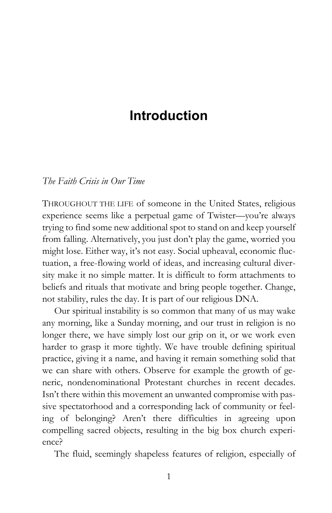# Introduction

## The Faith Crisis in Our Time

THROUGHOUT THE LIFE of someone in the United States, religious experience seems like a perpetual game of Twister—you're always trying to find some new additional spot to stand on and keep yourself from falling. Alternatively, you just don't play the game, worried you might lose. Either way, it's not easy. Social upheaval, economic fluctuation, a free-flowing world of ideas, and increasing cultural diversity make it no simple matter. It is difficult to form attachments to beliefs and rituals that motivate and bring people together. Change, not stability, rules the day. It is part of our religious DNA.

Our spiritual instability is so common that many of us may wake any morning, like a Sunday morning, and our trust in religion is no longer there, we have simply lost our grip on it, or we work even harder to grasp it more tightly. We have trouble defining spiritual practice, giving it a name, and having it remain something solid that we can share with others. Observe for example the growth of generic, nondenominational Protestant churches in recent decades. Isn't there within this movement an unwanted compromise with passive spectatorhood and a corresponding lack of community or feeling of belonging? Aren't there difficulties in agreeing upon compelling sacred objects, resulting in the big box church experience?

The fluid, seemingly shapeless features of religion, especially of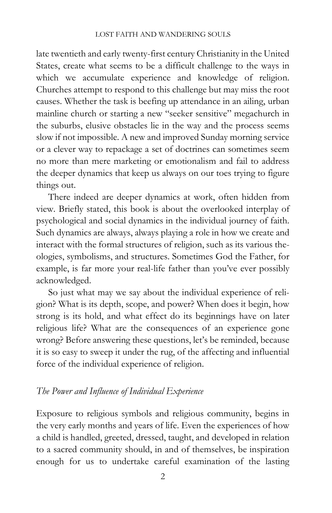late twentieth and early twenty-first century Christianity in the United States, create what seems to be a difficult challenge to the ways in which we accumulate experience and knowledge of religion. Churches attempt to respond to this challenge but may miss the root causes. Whether the task is beefing up attendance in an ailing, urban mainline church or starting a new "seeker sensitive" megachurch in the suburbs, elusive obstacles lie in the way and the process seems slow if not impossible. A new and improved Sunday morning service or a clever way to repackage a set of doctrines can sometimes seem no more than mere marketing or emotionalism and fail to address the deeper dynamics that keep us always on our toes trying to figure things out.

There indeed are deeper dynamics at work, often hidden from view. Briefly stated, this book is about the overlooked interplay of psychological and social dynamics in the individual journey of faith. Such dynamics are always, always playing a role in how we create and interact with the formal structures of religion, such as its various theologies, symbolisms, and structures. Sometimes God the Father, for example, is far more your real-life father than you've ever possibly acknowledged.

So just what may we say about the individual experience of religion? What is its depth, scope, and power? When does it begin, how strong is its hold, and what effect do its beginnings have on later religious life? What are the consequences of an experience gone wrong? Before answering these questions, let's be reminded, because it is so easy to sweep it under the rug, of the affecting and influential force of the individual experience of religion.

## The Power and Influence of Individual Experience

Exposure to religious symbols and religious community, begins in the very early months and years of life. Even the experiences of how a child is handled, greeted, dressed, taught, and developed in relation to a sacred community should, in and of themselves, be inspiration enough for us to undertake careful examination of the lasting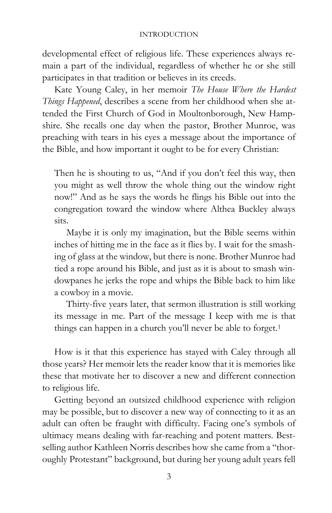developmental effect of religious life. These experiences always remain a part of the individual, regardless of whether he or she still participates in that tradition or believes in its creeds.

Kate Young Caley, in her memoir The House Where the Hardest Things Happened, describes a scene from her childhood when she attended the First Church of God in Moultonborough, New Hampshire. She recalls one day when the pastor, Brother Munroe, was preaching with tears in his eyes a message about the importance of the Bible, and how important it ought to be for every Christian:

Then he is shouting to us, "And if you don't feel this way, then you might as well throw the whole thing out the window right now!" And as he says the words he flings his Bible out into the congregation toward the window where Althea Buckley always sits.

Maybe it is only my imagination, but the Bible seems within inches of hitting me in the face as it flies by. I wait for the smashing of glass at the window, but there is none. Brother Munroe had tied a rope around his Bible, and just as it is about to smash windowpanes he jerks the rope and whips the Bible back to him like a cowboy in a movie.

Thirty-five years later, that sermon illustration is still working its message in me. Part of the message I keep with me is that things can happen in a church you'll never be able to forget.<sup>1</sup>

How is it that this experience has stayed with Caley through all those years? Her memoir lets the reader know that it is memories like these that motivate her to discover a new and different connection to religious life.

Getting beyond an outsized childhood experience with religion may be possible, but to discover a new way of connecting to it as an adult can often be fraught with difficulty. Facing one's symbols of ultimacy means dealing with far-reaching and potent matters. Bestselling author Kathleen Norris describes how she came from a "thoroughly Protestant" background, but during her young adult years fell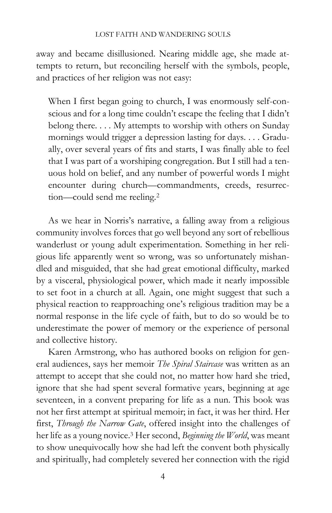#### LOST FAITH AND WANDERING SOULS

away and became disillusioned. Nearing middle age, she made attempts to return, but reconciling herself with the symbols, people, and practices of her religion was not easy:

When I first began going to church, I was enormously self-conscious and for a long time couldn't escape the feeling that I didn't belong there. . . . My attempts to worship with others on Sunday mornings would trigger a depression lasting for days. . . . Gradually, over several years of fits and starts, I was finally able to feel that I was part of a worshiping congregation. But I still had a tenuous hold on belief, and any number of powerful words I might encounter during church—commandments, creeds, resurrection—could send me reeling.<sup>2</sup>

As we hear in Norris's narrative, a falling away from a religious community involves forces that go well beyond any sort of rebellious wanderlust or young adult experimentation. Something in her religious life apparently went so wrong, was so unfortunately mishandled and misguided, that she had great emotional difficulty, marked by a visceral, physiological power, which made it nearly impossible to set foot in a church at all. Again, one might suggest that such a physical reaction to reapproaching one's religious tradition may be a normal response in the life cycle of faith, but to do so would be to underestimate the power of memory or the experience of personal and collective history.

Karen Armstrong, who has authored books on religion for general audiences, says her memoir The Spiral Staircase was written as an attempt to accept that she could not, no matter how hard she tried, ignore that she had spent several formative years, beginning at age seventeen, in a convent preparing for life as a nun. This book was not her first attempt at spiritual memoir; in fact, it was her third. Her first, Through the Narrow Gate, offered insight into the challenges of her life as a young novice.<sup>3</sup> Her second, Beginning the World, was meant to show unequivocally how she had left the convent both physically and spiritually, had completely severed her connection with the rigid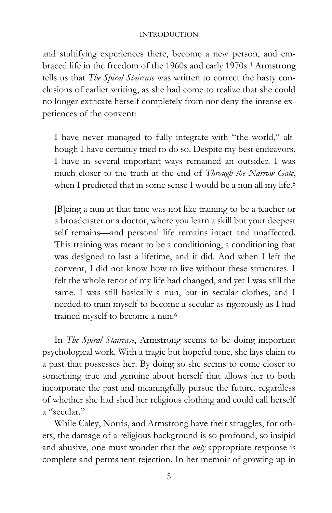and stultifying experiences there, become a new person, and embraced life in the freedom of the 1960s and early 1970s.4 Armstrong tells us that The Spiral Staircase was written to correct the hasty conclusions of earlier writing, as she had come to realize that she could no longer extricate herself completely from nor deny the intense experiences of the convent:

I have never managed to fully integrate with "the world," although I have certainly tried to do so. Despite my best endeavors, I have in several important ways remained an outsider. I was much closer to the truth at the end of Through the Narrow Gate, when I predicted that in some sense I would be a nun all my life.<sup>5</sup>

[B]eing a nun at that time was not like training to be a teacher or a broadcaster or a doctor, where you learn a skill but your deepest self remains—and personal life remains intact and unaffected. This training was meant to be a conditioning, a conditioning that was designed to last a lifetime, and it did. And when I left the convent, I did not know how to live without these structures. I felt the whole tenor of my life had changed, and yet I was still the same. I was still basically a nun, but in secular clothes, and I needed to train myself to become a secular as rigorously as I had trained myself to become a nun.<sup>6</sup>

In The Spiral Staircase, Armstrong seems to be doing important psychological work. With a tragic but hopeful tone, she lays claim to a past that possesses her. By doing so she seems to come closer to something true and genuine about herself that allows her to both incorporate the past and meaningfully pursue the future, regardless of whether she had shed her religious clothing and could call herself a "secular."

While Caley, Norris, and Armstrong have their struggles, for others, the damage of a religious background is so profound, so insipid and abusive, one must wonder that the *only* appropriate response is complete and permanent rejection. In her memoir of growing up in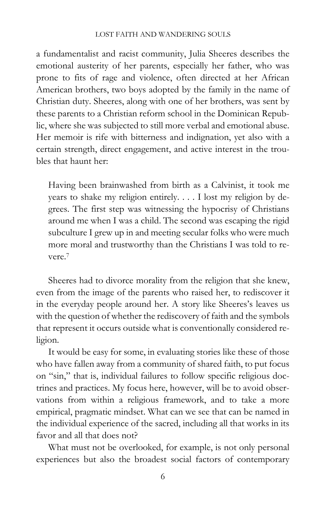#### LOST FAITH AND WANDERING SOULS

a fundamentalist and racist community, Julia Sheeres describes the emotional austerity of her parents, especially her father, who was prone to fits of rage and violence, often directed at her African American brothers, two boys adopted by the family in the name of Christian duty. Sheeres, along with one of her brothers, was sent by these parents to a Christian reform school in the Dominican Republic, where she was subjected to still more verbal and emotional abuse. Her memoir is rife with bitterness and indignation, yet also with a certain strength, direct engagement, and active interest in the troubles that haunt her:

Having been brainwashed from birth as a Calvinist, it took me years to shake my religion entirely. . . . I lost my religion by degrees. The first step was witnessing the hypocrisy of Christians around me when I was a child. The second was escaping the rigid subculture I grew up in and meeting secular folks who were much more moral and trustworthy than the Christians I was told to revere.<sup>7</sup>

Sheeres had to divorce morality from the religion that she knew, even from the image of the parents who raised her, to rediscover it in the everyday people around her. A story like Sheeres's leaves us with the question of whether the rediscovery of faith and the symbols that represent it occurs outside what is conventionally considered religion.

It would be easy for some, in evaluating stories like these of those who have fallen away from a community of shared faith, to put focus on "sin," that is, individual failures to follow specific religious doctrines and practices. My focus here, however, will be to avoid observations from within a religious framework, and to take a more empirical, pragmatic mindset. What can we see that can be named in the individual experience of the sacred, including all that works in its favor and all that does not?

What must not be overlooked, for example, is not only personal experiences but also the broadest social factors of contemporary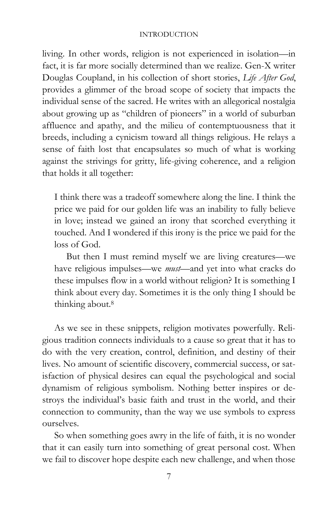living. In other words, religion is not experienced in isolation—in fact, it is far more socially determined than we realize. Gen-X writer Douglas Coupland, in his collection of short stories, Life After God, provides a glimmer of the broad scope of society that impacts the individual sense of the sacred. He writes with an allegorical nostalgia about growing up as "children of pioneers" in a world of suburban affluence and apathy, and the milieu of contemptuousness that it breeds, including a cynicism toward all things religious. He relays a sense of faith lost that encapsulates so much of what is working against the strivings for gritty, life-giving coherence, and a religion that holds it all together:

I think there was a tradeoff somewhere along the line. I think the price we paid for our golden life was an inability to fully believe in love; instead we gained an irony that scorched everything it touched. And I wondered if this irony is the price we paid for the loss of God.

But then I must remind myself we are living creatures—we have religious impulses—we *must*—and yet into what cracks do these impulses flow in a world without religion? It is something I think about every day. Sometimes it is the only thing I should be thinking about.<sup>8</sup>

As we see in these snippets, religion motivates powerfully. Religious tradition connects individuals to a cause so great that it has to do with the very creation, control, definition, and destiny of their lives. No amount of scientific discovery, commercial success, or satisfaction of physical desires can equal the psychological and social dynamism of religious symbolism. Nothing better inspires or destroys the individual's basic faith and trust in the world, and their connection to community, than the way we use symbols to express ourselves.

So when something goes awry in the life of faith, it is no wonder that it can easily turn into something of great personal cost. When we fail to discover hope despite each new challenge, and when those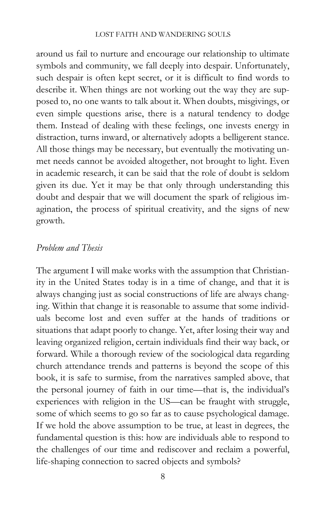#### LOST FAITH AND WANDERING SOULS

around us fail to nurture and encourage our relationship to ultimate symbols and community, we fall deeply into despair. Unfortunately, such despair is often kept secret, or it is difficult to find words to describe it. When things are not working out the way they are supposed to, no one wants to talk about it. When doubts, misgivings, or even simple questions arise, there is a natural tendency to dodge them. Instead of dealing with these feelings, one invests energy in distraction, turns inward, or alternatively adopts a belligerent stance. All those things may be necessary, but eventually the motivating unmet needs cannot be avoided altogether, not brought to light. Even in academic research, it can be said that the role of doubt is seldom given its due. Yet it may be that only through understanding this doubt and despair that we will document the spark of religious imagination, the process of spiritual creativity, and the signs of new growth.

## Problem and Thesis

The argument I will make works with the assumption that Christianity in the United States today is in a time of change, and that it is always changing just as social constructions of life are always changing. Within that change it is reasonable to assume that some individuals become lost and even suffer at the hands of traditions or situations that adapt poorly to change. Yet, after losing their way and leaving organized religion, certain individuals find their way back, or forward. While a thorough review of the sociological data regarding church attendance trends and patterns is beyond the scope of this book, it is safe to surmise, from the narratives sampled above, that the personal journey of faith in our time—that is, the individual's experiences with religion in the US—can be fraught with struggle, some of which seems to go so far as to cause psychological damage. If we hold the above assumption to be true, at least in degrees, the fundamental question is this: how are individuals able to respond to the challenges of our time and rediscover and reclaim a powerful, life-shaping connection to sacred objects and symbols?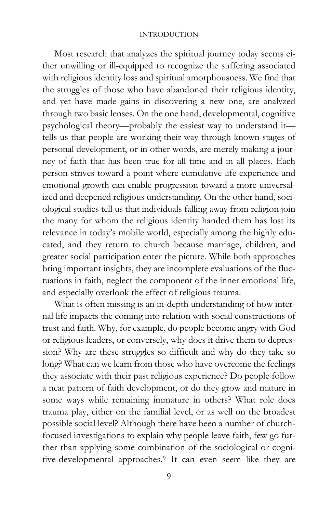Most research that analyzes the spiritual journey today seems either unwilling or ill-equipped to recognize the suffering associated with religious identity loss and spiritual amorphousness. We find that the struggles of those who have abandoned their religious identity, and yet have made gains in discovering a new one, are analyzed through two basic lenses. On the one hand, developmental, cognitive psychological theory—probably the easiest way to understand it tells us that people are working their way through known stages of personal development, or in other words, are merely making a journey of faith that has been true for all time and in all places. Each person strives toward a point where cumulative life experience and emotional growth can enable progression toward a more universalized and deepened religious understanding. On the other hand, sociological studies tell us that individuals falling away from religion join the many for whom the religious identity handed them has lost its relevance in today's mobile world, especially among the highly educated, and they return to church because marriage, children, and greater social participation enter the picture. While both approaches bring important insights, they are incomplete evaluations of the fluctuations in faith, neglect the component of the inner emotional life, and especially overlook the effect of religious trauma.

What is often missing is an in-depth understanding of how internal life impacts the coming into relation with social constructions of trust and faith. Why, for example, do people become angry with God or religious leaders, or conversely, why does it drive them to depression? Why are these struggles so difficult and why do they take so long? What can we learn from those who have overcome the feelings they associate with their past religious experience? Do people follow a neat pattern of faith development, or do they grow and mature in some ways while remaining immature in others? What role does trauma play, either on the familial level, or as well on the broadest possible social level? Although there have been a number of churchfocused investigations to explain why people leave faith, few go further than applying some combination of the sociological or cognitive-developmental approaches.9 It can even seem like they are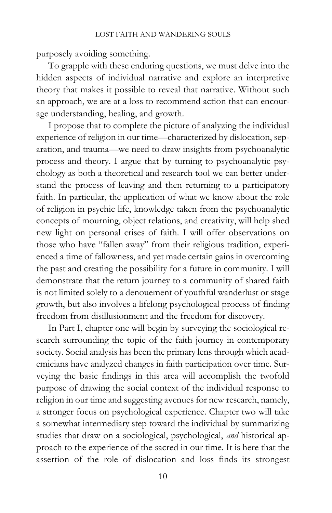purposely avoiding something.

To grapple with these enduring questions, we must delve into the hidden aspects of individual narrative and explore an interpretive theory that makes it possible to reveal that narrative. Without such an approach, we are at a loss to recommend action that can encourage understanding, healing, and growth.

I propose that to complete the picture of analyzing the individual experience of religion in our time—characterized by dislocation, separation, and trauma—we need to draw insights from psychoanalytic process and theory. I argue that by turning to psychoanalytic psychology as both a theoretical and research tool we can better understand the process of leaving and then returning to a participatory faith. In particular, the application of what we know about the role of religion in psychic life, knowledge taken from the psychoanalytic concepts of mourning, object relations, and creativity, will help shed new light on personal crises of faith. I will offer observations on those who have "fallen away" from their religious tradition, experienced a time of fallowness, and yet made certain gains in overcoming the past and creating the possibility for a future in community. I will demonstrate that the return journey to a community of shared faith is not limited solely to a denouement of youthful wanderlust or stage growth, but also involves a lifelong psychological process of finding freedom from disillusionment and the freedom for discovery.

In Part I, chapter one will begin by surveying the sociological research surrounding the topic of the faith journey in contemporary society. Social analysis has been the primary lens through which academicians have analyzed changes in faith participation over time. Surveying the basic findings in this area will accomplish the twofold purpose of drawing the social context of the individual response to religion in our time and suggesting avenues for new research, namely, a stronger focus on psychological experience. Chapter two will take a somewhat intermediary step toward the individual by summarizing studies that draw on a sociological, psychological, and historical approach to the experience of the sacred in our time. It is here that the assertion of the role of dislocation and loss finds its strongest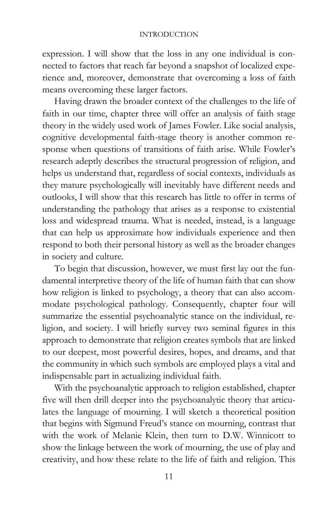expression. I will show that the loss in any one individual is connected to factors that reach far beyond a snapshot of localized experience and, moreover, demonstrate that overcoming a loss of faith means overcoming these larger factors.

Having drawn the broader context of the challenges to the life of faith in our time, chapter three will offer an analysis of faith stage theory in the widely used work of James Fowler. Like social analysis, cognitive developmental faith-stage theory is another common response when questions of transitions of faith arise. While Fowler's research adeptly describes the structural progression of religion, and helps us understand that, regardless of social contexts, individuals as they mature psychologically will inevitably have different needs and outlooks, I will show that this research has little to offer in terms of understanding the pathology that arises as a response to existential loss and widespread trauma. What is needed, instead, is a language that can help us approximate how individuals experience and then respond to both their personal history as well as the broader changes in society and culture.

To begin that discussion, however, we must first lay out the fundamental interpretive theory of the life of human faith that can show how religion is linked to psychology, a theory that can also accommodate psychological pathology. Consequently, chapter four will summarize the essential psychoanalytic stance on the individual, religion, and society. I will briefly survey two seminal figures in this approach to demonstrate that religion creates symbols that are linked to our deepest, most powerful desires, hopes, and dreams, and that the community in which such symbols are employed plays a vital and indispensable part in actualizing individual faith.

With the psychoanalytic approach to religion established, chapter five will then drill deeper into the psychoanalytic theory that articulates the language of mourning. I will sketch a theoretical position that begins with Sigmund Freud's stance on mourning, contrast that with the work of Melanie Klein, then turn to D.W. Winnicott to show the linkage between the work of mourning, the use of play and creativity, and how these relate to the life of faith and religion. This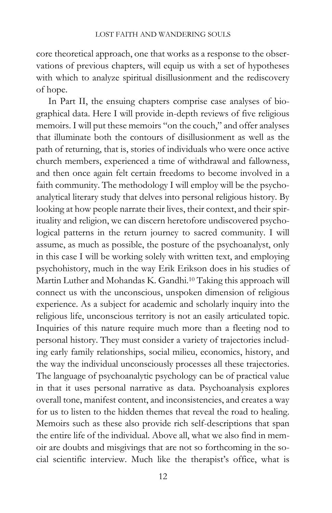core theoretical approach, one that works as a response to the observations of previous chapters, will equip us with a set of hypotheses with which to analyze spiritual disillusionment and the rediscovery of hope.

In Part II, the ensuing chapters comprise case analyses of biographical data. Here I will provide in-depth reviews of five religious memoirs. I will put these memoirs "on the couch," and offer analyses that illuminate both the contours of disillusionment as well as the path of returning, that is, stories of individuals who were once active church members, experienced a time of withdrawal and fallowness, and then once again felt certain freedoms to become involved in a faith community. The methodology I will employ will be the psychoanalytical literary study that delves into personal religious history. By looking at how people narrate their lives, their context, and their spirituality and religion, we can discern heretofore undiscovered psychological patterns in the return journey to sacred community. I will assume, as much as possible, the posture of the psychoanalyst, only in this case I will be working solely with written text, and employing psychohistory, much in the way Erik Erikson does in his studies of Martin Luther and Mohandas K. Gandhi.10 Taking this approach will connect us with the unconscious, unspoken dimension of religious experience. As a subject for academic and scholarly inquiry into the religious life, unconscious territory is not an easily articulated topic. Inquiries of this nature require much more than a fleeting nod to personal history. They must consider a variety of trajectories including early family relationships, social milieu, economics, history, and the way the individual unconsciously processes all these trajectories. The language of psychoanalytic psychology can be of practical value in that it uses personal narrative as data. Psychoanalysis explores overall tone, manifest content, and inconsistencies, and creates a way for us to listen to the hidden themes that reveal the road to healing. Memoirs such as these also provide rich self-descriptions that span the entire life of the individual. Above all, what we also find in memoir are doubts and misgivings that are not so forthcoming in the social scientific interview. Much like the therapist's office, what is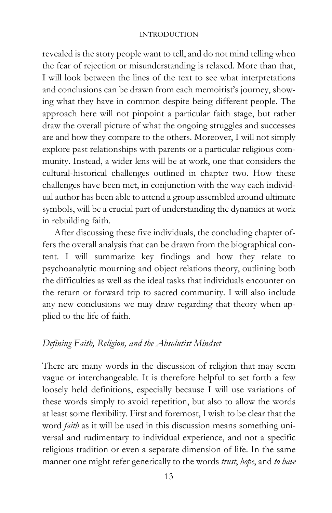revealed is the story people want to tell, and do not mind telling when the fear of rejection or misunderstanding is relaxed. More than that, I will look between the lines of the text to see what interpretations and conclusions can be drawn from each memoirist's journey, showing what they have in common despite being different people. The approach here will not pinpoint a particular faith stage, but rather draw the overall picture of what the ongoing struggles and successes are and how they compare to the others. Moreover, I will not simply explore past relationships with parents or a particular religious community. Instead, a wider lens will be at work, one that considers the cultural-historical challenges outlined in chapter two. How these challenges have been met, in conjunction with the way each individual author has been able to attend a group assembled around ultimate symbols, will be a crucial part of understanding the dynamics at work in rebuilding faith.

After discussing these five individuals, the concluding chapter offers the overall analysis that can be drawn from the biographical content. I will summarize key findings and how they relate to psychoanalytic mourning and object relations theory, outlining both the difficulties as well as the ideal tasks that individuals encounter on the return or forward trip to sacred community. I will also include any new conclusions we may draw regarding that theory when applied to the life of faith.

## Defining Faith, Religion, and the Absolutist Mindset

There are many words in the discussion of religion that may seem vague or interchangeable. It is therefore helpful to set forth a few loosely held definitions, especially because I will use variations of these words simply to avoid repetition, but also to allow the words at least some flexibility. First and foremost, I wish to be clear that the word *faith* as it will be used in this discussion means something universal and rudimentary to individual experience, and not a specific religious tradition or even a separate dimension of life. In the same manner one might refer generically to the words trust, hope, and to have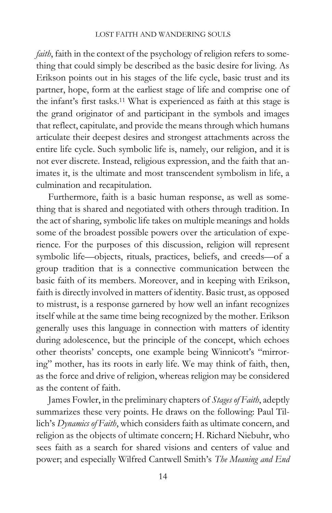#### LOST FAITH AND WANDERING SOULS

faith, faith in the context of the psychology of religion refers to something that could simply be described as the basic desire for living. As Erikson points out in his stages of the life cycle, basic trust and its partner, hope, form at the earliest stage of life and comprise one of the infant's first tasks.11 What is experienced as faith at this stage is the grand originator of and participant in the symbols and images that reflect, capitulate, and provide the means through which humans articulate their deepest desires and strongest attachments across the entire life cycle. Such symbolic life is, namely, our religion, and it is not ever discrete. Instead, religious expression, and the faith that animates it, is the ultimate and most transcendent symbolism in life, a culmination and recapitulation.

Furthermore, faith is a basic human response, as well as something that is shared and negotiated with others through tradition. In the act of sharing, symbolic life takes on multiple meanings and holds some of the broadest possible powers over the articulation of experience. For the purposes of this discussion, religion will represent symbolic life—objects, rituals, practices, beliefs, and creeds—of a group tradition that is a connective communication between the basic faith of its members. Moreover, and in keeping with Erikson, faith is directly involved in matters of identity. Basic trust, as opposed to mistrust, is a response garnered by how well an infant recognizes itself while at the same time being recognized by the mother. Erikson generally uses this language in connection with matters of identity during adolescence, but the principle of the concept, which echoes other theorists' concepts, one example being Winnicott's "mirroring" mother, has its roots in early life. We may think of faith, then, as the force and drive of religion, whereas religion may be considered as the content of faith.

James Fowler, in the preliminary chapters of Stages of Faith, adeptly summarizes these very points. He draws on the following: Paul Tillich's Dynamics of Faith, which considers faith as ultimate concern, and religion as the objects of ultimate concern; H. Richard Niebuhr, who sees faith as a search for shared visions and centers of value and power; and especially Wilfred Cantwell Smith's The Meaning and End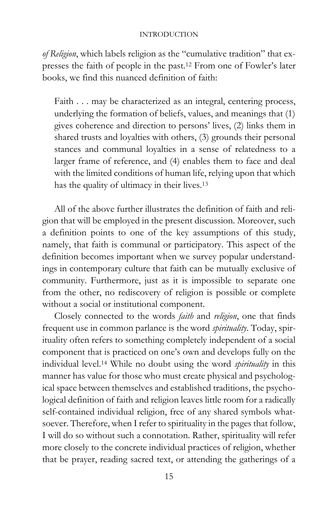of Religion, which labels religion as the "cumulative tradition" that expresses the faith of people in the past.12 From one of Fowler's later books, we find this nuanced definition of faith:

Faith . . . may be characterized as an integral, centering process, underlying the formation of beliefs, values, and meanings that (1) gives coherence and direction to persons' lives, (2) links them in shared trusts and loyalties with others, (3) grounds their personal stances and communal loyalties in a sense of relatedness to a larger frame of reference, and (4) enables them to face and deal with the limited conditions of human life, relying upon that which has the quality of ultimacy in their lives.<sup>13</sup>

All of the above further illustrates the definition of faith and religion that will be employed in the present discussion. Moreover, such a definition points to one of the key assumptions of this study, namely, that faith is communal or participatory. This aspect of the definition becomes important when we survey popular understandings in contemporary culture that faith can be mutually exclusive of community. Furthermore, just as it is impossible to separate one from the other, no rediscovery of religion is possible or complete without a social or institutional component.

Closely connected to the words faith and religion, one that finds frequent use in common parlance is the word spirituality. Today, spirituality often refers to something completely independent of a social component that is practiced on one's own and develops fully on the individual level.<sup>14</sup> While no doubt using the word *spirituality* in this manner has value for those who must create physical and psychological space between themselves and established traditions, the psychological definition of faith and religion leaves little room for a radically self-contained individual religion, free of any shared symbols whatsoever. Therefore, when I refer to spirituality in the pages that follow, I will do so without such a connotation. Rather, spirituality will refer more closely to the concrete individual practices of religion, whether that be prayer, reading sacred text, or attending the gatherings of a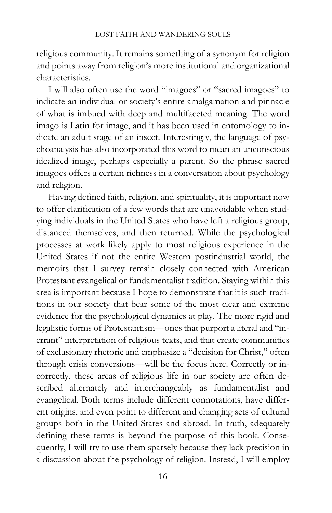religious community. It remains something of a synonym for religion and points away from religion's more institutional and organizational characteristics.

I will also often use the word "imagoes" or "sacred imagoes" to indicate an individual or society's entire amalgamation and pinnacle of what is imbued with deep and multifaceted meaning. The word imago is Latin for image, and it has been used in entomology to indicate an adult stage of an insect. Interestingly, the language of psychoanalysis has also incorporated this word to mean an unconscious idealized image, perhaps especially a parent. So the phrase sacred imagoes offers a certain richness in a conversation about psychology and religion.

Having defined faith, religion, and spirituality, it is important now to offer clarification of a few words that are unavoidable when studying individuals in the United States who have left a religious group, distanced themselves, and then returned. While the psychological processes at work likely apply to most religious experience in the United States if not the entire Western postindustrial world, the memoirs that I survey remain closely connected with American Protestant evangelical or fundamentalist tradition. Staying within this area is important because I hope to demonstrate that it is such traditions in our society that bear some of the most clear and extreme evidence for the psychological dynamics at play. The more rigid and legalistic forms of Protestantism—ones that purport a literal and "inerrant" interpretation of religious texts, and that create communities of exclusionary rhetoric and emphasize a "decision for Christ," often through crisis conversions—will be the focus here. Correctly or incorrectly, these areas of religious life in our society are often described alternately and interchangeably as fundamentalist and evangelical. Both terms include different connotations, have different origins, and even point to different and changing sets of cultural groups both in the United States and abroad. In truth, adequately defining these terms is beyond the purpose of this book. Consequently, I will try to use them sparsely because they lack precision in a discussion about the psychology of religion. Instead, I will employ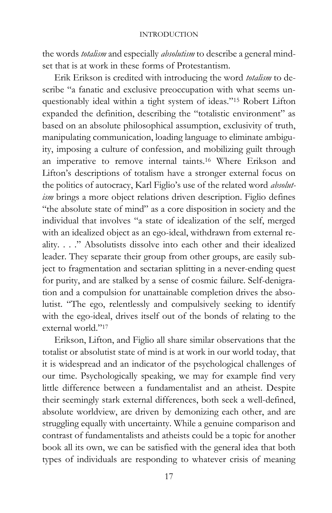the words totalism and especially absolutism to describe a general mindset that is at work in these forms of Protestantism.

Erik Erikson is credited with introducing the word totalism to describe "a fanatic and exclusive preoccupation with what seems unquestionably ideal within a tight system of ideas."15 Robert Lifton expanded the definition, describing the "totalistic environment" as based on an absolute philosophical assumption, exclusivity of truth, manipulating communication, loading language to eliminate ambiguity, imposing a culture of confession, and mobilizing guilt through an imperative to remove internal taints.16 Where Erikson and Lifton's descriptions of totalism have a stronger external focus on the politics of autocracy, Karl Figlio's use of the related word absolutism brings a more object relations driven description. Figlio defines "the absolute state of mind" as a core disposition in society and the individual that involves "a state of idealization of the self, merged with an idealized object as an ego-ideal, withdrawn from external reality. . . ." Absolutists dissolve into each other and their idealized leader. They separate their group from other groups, are easily subject to fragmentation and sectarian splitting in a never-ending quest for purity, and are stalked by a sense of cosmic failure. Self-denigration and a compulsion for unattainable completion drives the absolutist. "The ego, relentlessly and compulsively seeking to identify with the ego-ideal, drives itself out of the bonds of relating to the external world."<sup>17</sup>

Erikson, Lifton, and Figlio all share similar observations that the totalist or absolutist state of mind is at work in our world today, that it is widespread and an indicator of the psychological challenges of our time. Psychologically speaking, we may for example find very little difference between a fundamentalist and an atheist. Despite their seemingly stark external differences, both seek a well-defined, absolute worldview, are driven by demonizing each other, and are struggling equally with uncertainty. While a genuine comparison and contrast of fundamentalists and atheists could be a topic for another book all its own, we can be satisfied with the general idea that both types of individuals are responding to whatever crisis of meaning